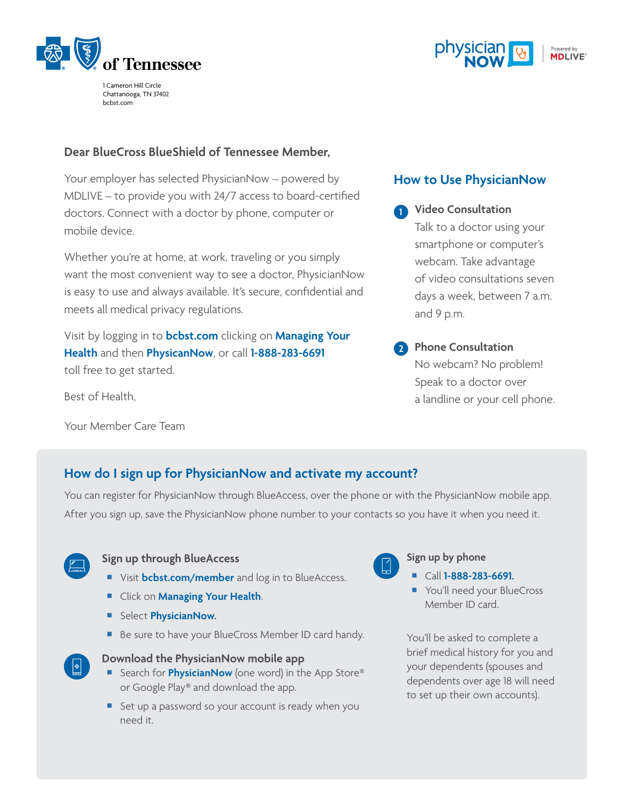

1 Cameron Hill Circle Chattanooga, TN 37402 bcbst.com



#### **Dear BlueCross BlueShield of Tennessee Member,**

Your employer has selected PhysicianNow – powered by MDLIVE – to provide you with 24/7 access to board-certified doctors. Connect with a doctor by phone, computer or mobile device.

Whether you're at home, at work, traveling or you simply want the most convenient way to see a doctor, PhysicianNow is easy to use and always available. It's secure, confidential and meets all medical privacy regulations.

Visit by logging in to **bcbst.com** clicking on **Managing Your Health** and then **PhysicanNow**, or call **1-888-283-6691** toll free to get started.

Best of Health,

Your Member Care Team

# **How to Use PhysicianNow**

**Video Consultation 1**

> Talk to a doctor using your smartphone or computer's webcam. Take advantage of video consultations seven days a week, between 7 a.m. and 9 p.m.

## **2** Phone Consultation

No webcam? No problem! Speak to a doctor over a landline or your cell phone.

# **How do I sign up for PhysicianNow and activate my account?**

You can register for PhysicianNow through BlueAccess, over the phone or with the PhysicianNow mobile app. After you sign up, save the PhysicianNow phone number to your contacts so you have it when you need it.



#### **Sign up through BlueAccess**

- **E** Visit **bcbst.com/member** and log in to BlueAccess.
- ¡ Click on **Managing Your Health**.
- **E** Select **PhysicianNow.**
- Be sure to have your BlueCross Member ID card handy.



#### **Download the PhysicianNow mobile app**

- Search for **PhysicianNow** (one word) in the App Store® or Google Play® and download the app.
- **Set up a password so your account is ready when you** need it.



### **Sign up by phone**

- ¡ Call **1-888-283-6691.**
- You'll need your BlueCross Member ID card.

You'll be asked to complete a brief medical history for you and your dependents (spouses and dependents over age 18 will need to set up their own accounts).